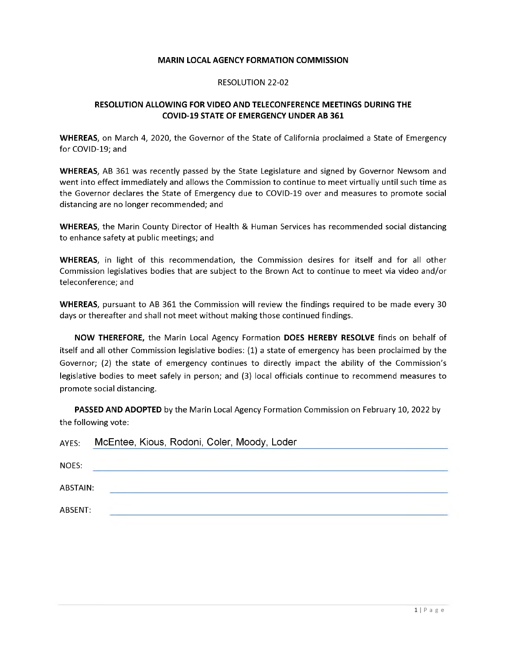## **MARIN LOCAL AGENCY FORMATION COMMISSION**

## RESOLUTION 22-02

## **RESOLUTION ALLOWING FOR VIDEO AND TELECONFERENCE MEETINGS DURING THE COVID-19 STATE OF EMERGENCY UNDER AB 361**

**WHEREAS**, on March 4, 2020, the Governor of the State of California proclaimed a State of Emergency for COVID-19; and

**WHEREAS**, AB 361 was recently passed by the State Legislature and signed by Governor Newsom and went into effect immediately and allows the Commission to continue to meet virtually until such time as the Governor declares the State of Emergency due to COVID-19 over and measures to promote social distancing are no longer recommended; and

**WHEREAS**, the Marin County Director of Health & Human Services has recommended social distancing to enhance safety at public meetings; and

**WHEREAS**, in light of this recommendation, the Commission desires for itself and for all other Commission legislatives bodies that are subject to the Brown Act to continue to meet via video and/or teleconference; and

**WHEREAS**, pursuant to AB 361 the Commission will review the findings required to be made every 30 days or thereafter and shall not meet without making those continued findings.

**NOW THEREFORE,** the Marin Local Agency Formation **DOES HEREBY RESOLVE** finds on behalf of itself and all other Commission legislative bodies: (1) a state of emergency has been proclaimed by the Governor; (2) the state of emergency continues to directly impact the ability of the Commission'<sup>s</sup> legislative bodies to meet safely in person; and (3) local officials continue to recommend measures to promote social distancing.

**PASSED AND ADOPTED** by the Marin Local Agency Formation Commission on February 10, 2022 by the following vote:

| AYES:    | McEntee, Kious, Rodoni, Coler, Moody, Loder |
|----------|---------------------------------------------|
| NOES:    |                                             |
| ABSTAIN: |                                             |
| ABSENT:  |                                             |